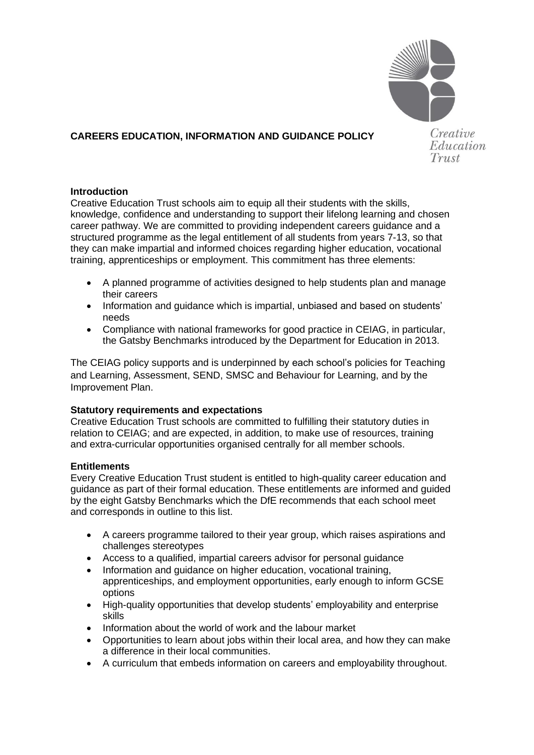

## **CAREERS EDUCATION, INFORMATION AND GUIDANCE POLICY**

Creative Education Trust

## **Introduction**

Creative Education Trust schools aim to equip all their students with the skills, knowledge, confidence and understanding to support their lifelong learning and chosen career pathway. We are committed to providing independent careers guidance and a structured programme as the legal entitlement of all students from years 7-13, so that they can make impartial and informed choices regarding higher education, vocational training, apprenticeships or employment. This commitment has three elements:

- A planned programme of activities designed to help students plan and manage their careers
- Information and guidance which is impartial, unbiased and based on students' needs
- Compliance with national frameworks for good practice in CEIAG, in particular, the Gatsby Benchmarks introduced by the Department for Education in 2013.

The CEIAG policy supports and is underpinned by each school's policies for Teaching and Learning, Assessment, SEND, SMSC and Behaviour for Learning, and by the Improvement Plan.

## **Statutory requirements and expectations**

Creative Education Trust schools are committed to fulfilling their statutory duties in relation to CEIAG; and are expected, in addition, to make use of resources, training and extra-curricular opportunities organised centrally for all member schools.

## **Entitlements**

Every Creative Education Trust student is entitled to high-quality career education and guidance as part of their formal education. These entitlements are informed and guided by the eight Gatsby Benchmarks which the DfE recommends that each school meet and corresponds in outline to this list.

- A careers programme tailored to their year group, which raises aspirations and challenges stereotypes
- Access to a qualified, impartial careers advisor for personal guidance
- Information and quidance on higher education, vocational training, apprenticeships, and employment opportunities, early enough to inform GCSE options
- High-quality opportunities that develop students' employability and enterprise skills
- Information about the world of work and the labour market
- Opportunities to learn about jobs within their local area, and how they can make a difference in their local communities.
- A curriculum that embeds information on careers and employability throughout.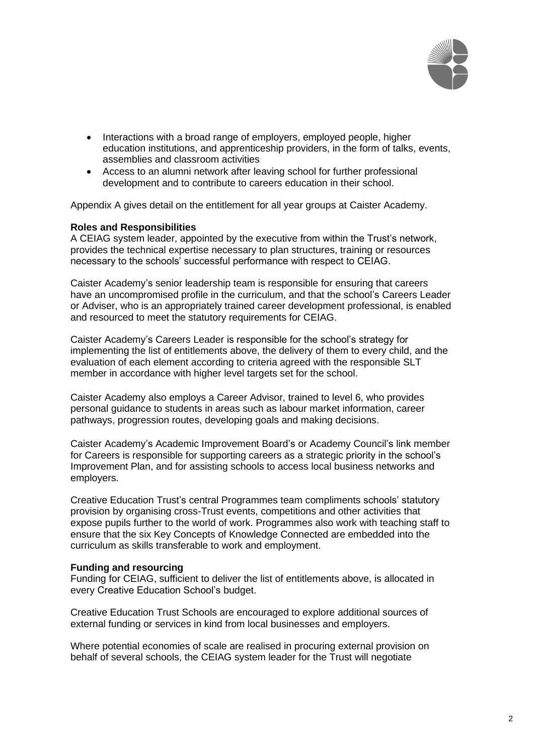

- Interactions with a broad range of employers, employed people, higher education institutions, and apprenticeship providers, in the form of talks, events, assemblies and classroom activities
- Access to an alumni network after leaving school for further professional development and to contribute to careers education in their school.

Appendix A gives detail on the entitlement for all year groups at Caister Academy.

#### **Roles and Responsibilities**

A CEIAG system leader, appointed by the executive from within the Trust's network, provides the technical expertise necessary to plan structures, training or resources necessary to the schools' successful performance with respect to CEIAG.

Caister Academy's senior leadership team is responsible for ensuring that careers have an uncompromised profile in the curriculum, and that the school's Careers Leader or Adviser, who is an appropriately trained career development professional, is enabled and resourced to meet the statutory requirements for CEIAG.

Caister Academy's Careers Leader is responsible for the school's strategy for implementing the list of entitlements above, the delivery of them to every child, and the evaluation of each element according to criteria agreed with the responsible SLT member in accordance with higher level targets set for the school.

Caister Academy also employs a Career Advisor, trained to level 6, who provides personal guidance to students in areas such as labour market information, career pathways, progression routes, developing goals and making decisions.

Caister Academy's Academic Improvement Board's or Academy Council's link member for Careers is responsible for supporting careers as a strategic priority in the school's Improvement Plan, and for assisting schools to access local business networks and employers.

Creative Education Trust's central Programmes team compliments schools' statutory provision by organising cross-Trust events, competitions and other activities that expose pupils further to the world of work. Programmes also work with teaching staff to ensure that the six Key Concepts of Knowledge Connected are embedded into the curriculum as skills transferable to work and employment.

#### **Funding and resourcing**

Funding for CEIAG, sufficient to deliver the list of entitlements above, is allocated in every Creative Education School's budget.

Creative Education Trust Schools are encouraged to explore additional sources of external funding or services in kind from local businesses and employers.

Where potential economies of scale are realised in procuring external provision on behalf of several schools, the CEIAG system leader for the Trust will negotiate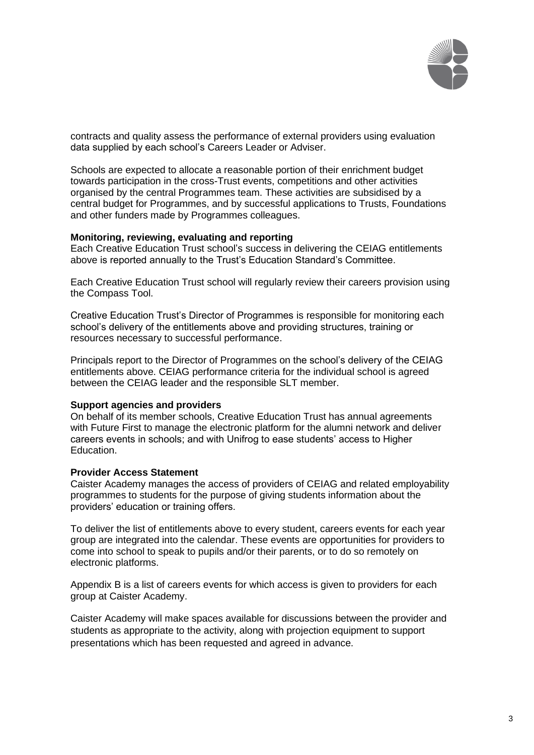

contracts and quality assess the performance of external providers using evaluation data supplied by each school's Careers Leader or Adviser.

Schools are expected to allocate a reasonable portion of their enrichment budget towards participation in the cross-Trust events, competitions and other activities organised by the central Programmes team. These activities are subsidised by a central budget for Programmes, and by successful applications to Trusts, Foundations and other funders made by Programmes colleagues.

#### **Monitoring, reviewing, evaluating and reporting**

Each Creative Education Trust school's success in delivering the CEIAG entitlements above is reported annually to the Trust's Education Standard's Committee.

Each Creative Education Trust school will regularly review their careers provision using the Compass Tool.

Creative Education Trust's Director of Programmes is responsible for monitoring each school's delivery of the entitlements above and providing structures, training or resources necessary to successful performance.

Principals report to the Director of Programmes on the school's delivery of the CEIAG entitlements above. CEIAG performance criteria for the individual school is agreed between the CEIAG leader and the responsible SLT member.

#### **Support agencies and providers**

On behalf of its member schools, Creative Education Trust has annual agreements with Future First to manage the electronic platform for the alumni network and deliver careers events in schools; and with Unifrog to ease students' access to Higher Education.

#### **Provider Access Statement**

Caister Academy manages the access of providers of CEIAG and related employability programmes to students for the purpose of giving students information about the providers' education or training offers.

To deliver the list of entitlements above to every student, careers events for each year group are integrated into the calendar. These events are opportunities for providers to come into school to speak to pupils and/or their parents, or to do so remotely on electronic platforms.

Appendix B is a list of careers events for which access is given to providers for each group at Caister Academy.

Caister Academy will make spaces available for discussions between the provider and students as appropriate to the activity, along with projection equipment to support presentations which has been requested and agreed in advance.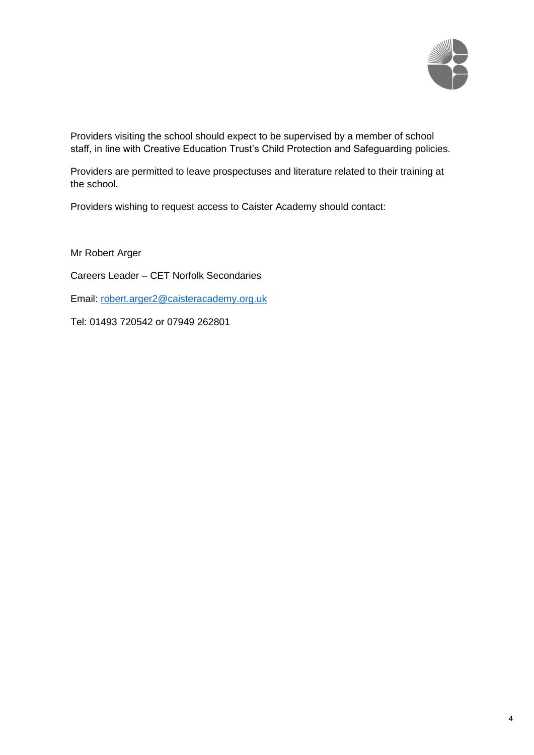

Providers visiting the school should expect to be supervised by a member of school staff, in line with Creative Education Trust's Child Protection and Safeguarding policies.

Providers are permitted to leave prospectuses and literature related to their training at the school.

Providers wishing to request access to Caister Academy should contact:

Mr Robert Arger

Careers Leader – CET Norfolk Secondaries

Email: [robert.arger2@caisteracademy.org.uk](mailto:robert.arger2@caisteracademy.org.uk)

Tel: 01493 720542 or 07949 262801